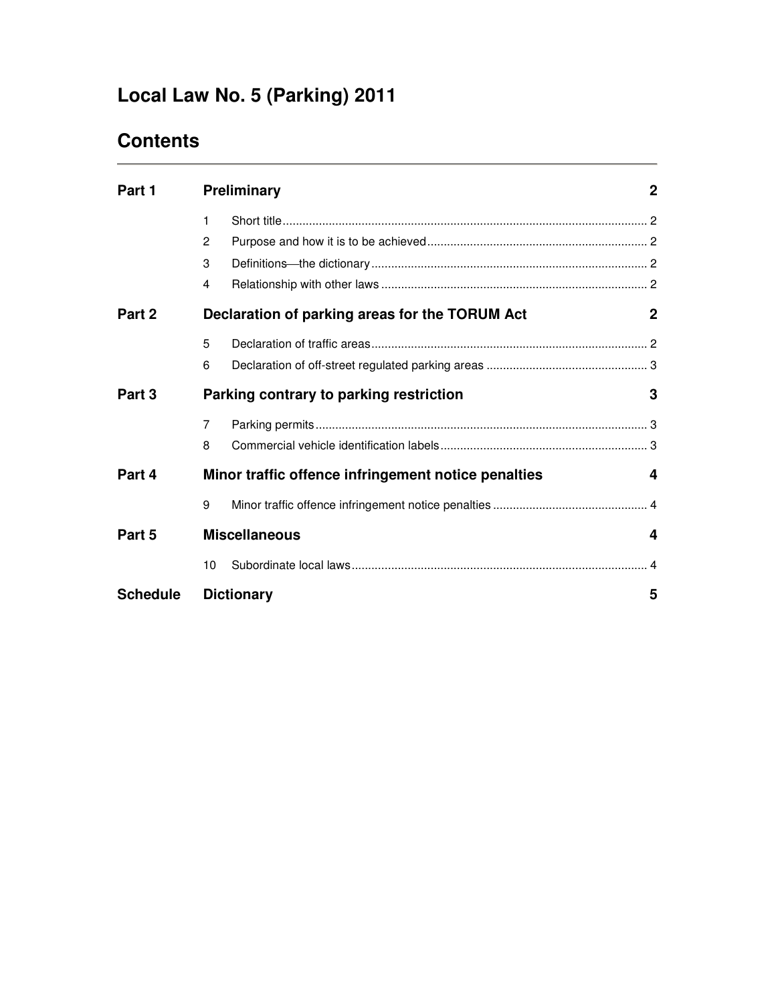# **Local Law No. 5 (Parking) 2011**

# **Contents**

| Part 1          | <b>Preliminary</b>                                  |  | 2            |
|-----------------|-----------------------------------------------------|--|--------------|
|                 | 1                                                   |  |              |
|                 | 2                                                   |  |              |
|                 | 3                                                   |  |              |
|                 | 4                                                   |  |              |
| Part 2          | Declaration of parking areas for the TORUM Act      |  | $\mathbf{2}$ |
|                 | 5                                                   |  |              |
|                 | 6                                                   |  |              |
| Part 3          | Parking contrary to parking restriction             |  | 3            |
|                 | 7                                                   |  |              |
|                 | 8                                                   |  |              |
| Part 4          | Minor traffic offence infringement notice penalties |  | 4            |
|                 | 9                                                   |  |              |
| Part 5          | <b>Miscellaneous</b>                                |  | 4            |
|                 | 10                                                  |  |              |
| <b>Schedule</b> | <b>Dictionary</b>                                   |  | 5            |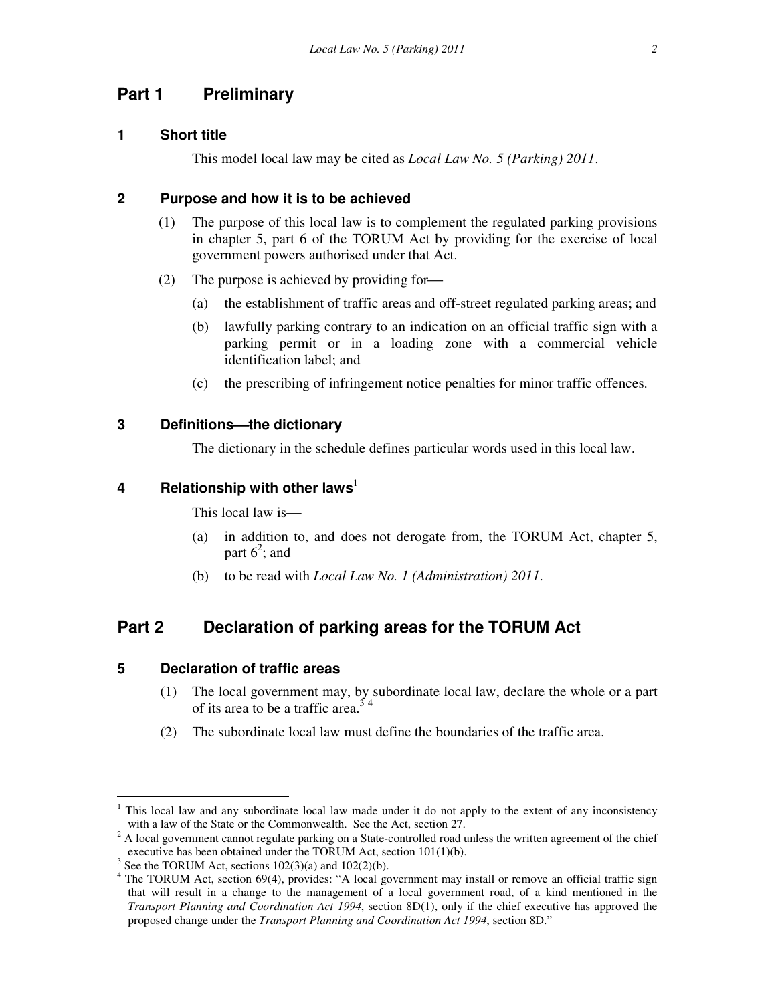# **Part 1 Preliminary**

#### **1 Short title**

This model local law may be cited as *Local Law No. 5 (Parking) 2011*.

#### **2 Purpose and how it is to be achieved**

- (1) The purpose of this local law is to complement the regulated parking provisions in chapter 5, part 6 of the TORUM Act by providing for the exercise of local government powers authorised under that Act.
- (2) The purpose is achieved by providing for
	- (a) the establishment of traffic areas and off-street regulated parking areas; and
	- (b) lawfully parking contrary to an indication on an official traffic sign with a parking permit or in a loading zone with a commercial vehicle identification label; and
	- (c) the prescribing of infringement notice penalties for minor traffic offences.

#### **3 Definitionsthe dictionary**

The dictionary in the schedule defines particular words used in this local law.

#### **4 Relationship with other laws**<sup>1</sup>

This local law is

- (a) in addition to, and does not derogate from, the TORUM Act, chapter 5, part  $6^2$ ; and
- (b) to be read with *Local Law No. 1 (Administration) 2011*.

## **Part 2 Declaration of parking areas for the TORUM Act**

#### **5 Declaration of traffic areas**

 $\ddot{\phantom{a}}$ 

- (1) The local government may, by subordinate local law, declare the whole or a part of its area to be a traffic area.<sup>34</sup>
- (2) The subordinate local law must define the boundaries of the traffic area.

<sup>&</sup>lt;sup>1</sup> This local law and any subordinate local law made under it do not apply to the extent of any inconsistency with a law of the State or the Commonwealth. See the Act, section 27.

 $2^2$  A local government cannot regulate parking on a State-controlled road unless the written agreement of the chief executive has been obtained under the TORUM Act, section 101(1)(b).

<sup>&</sup>lt;sup>3</sup> See the TORUM Act, sections  $102(3)(a)$  and  $102(2)(b)$ .

<sup>&</sup>lt;sup>4</sup> The TORUM Act, section 69(4), provides: "A local government may install or remove an official traffic sign that will result in a change to the management of a local government road, of a kind mentioned in the *Transport Planning and Coordination Act 1994*, section 8D(1), only if the chief executive has approved the proposed change under the *Transport Planning and Coordination Act 1994*, section 8D."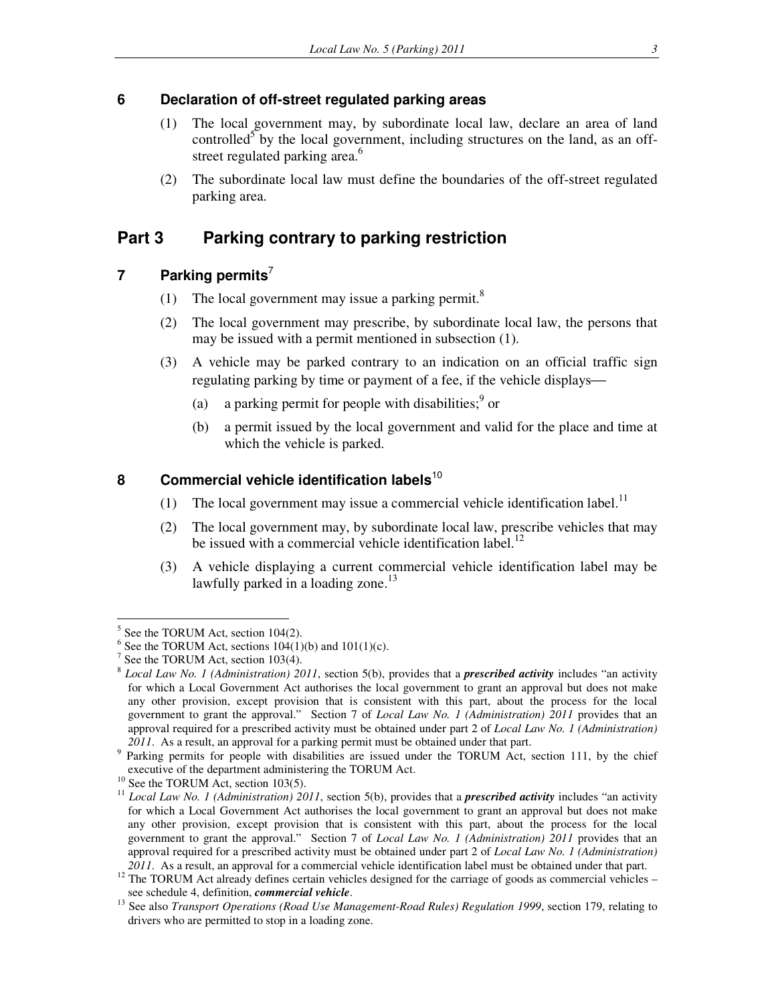## **6 Declaration of off-street regulated parking areas**

- (1) The local government may, by subordinate local law, declare an area of land controlled<sup>5</sup> by the local government, including structures on the land, as an offstreet regulated parking area.<sup>6</sup>
- (2) The subordinate local law must define the boundaries of the off-street regulated parking area.

## **Part 3 Parking contrary to parking restriction**

## **7 Parking permits**<sup>7</sup>

- (1) The local government may issue a parking permit.<sup>8</sup>
- (2) The local government may prescribe, by subordinate local law, the persons that may be issued with a permit mentioned in subsection (1).
- (3) A vehicle may be parked contrary to an indication on an official traffic sign regulating parking by time or payment of a fee, if the vehicle displays
	- (a) a parking permit for people with disabilities;  $9^{\circ}$  or
	- (b) a permit issued by the local government and valid for the place and time at which the vehicle is parked.

#### 8 Commercial vehicle identification labels<sup>10</sup>

- (1) The local government may issue a commercial vehicle identification label.<sup>11</sup>
- (2) The local government may, by subordinate local law, prescribe vehicles that may be issued with a commercial vehicle identification label.<sup>12</sup>
- (3) A vehicle displaying a current commercial vehicle identification label may be lawfully parked in a loading zone. $13$

 $\ddot{\phantom{a}}$ 

 $<sup>5</sup>$  See the TORUM Act, section 104(2).</sup>

<sup>&</sup>lt;sup>6</sup> See the TORUM Act, sections  $104(1)(b)$  and  $101(1)(c)$ .

<sup>&</sup>lt;sup>7</sup> See the TORUM Act, section 103(4).

<sup>8</sup> *Local Law No. 1 (Administration) 2011*, section 5(b), provides that a *prescribed activity* includes "an activity for which a Local Government Act authorises the local government to grant an approval but does not make any other provision, except provision that is consistent with this part, about the process for the local government to grant the approval." Section 7 of *Local Law No. 1 (Administration) 2011* provides that an approval required for a prescribed activity must be obtained under part 2 of *Local Law No. 1 (Administration) 2011*. As a result, an approval for a parking permit must be obtained under that part.

<sup>&</sup>lt;sup>9</sup> Parking permits for people with disabilities are issued under the TORUM Act, section 111, by the chief executive of the department administering the TORUM Act.

 $10$  See the TORUM Act, section 103(5).

<sup>11</sup> *Local Law No. 1 (Administration) 2011*, section 5(b), provides that a *prescribed activity* includes "an activity for which a Local Government Act authorises the local government to grant an approval but does not make any other provision, except provision that is consistent with this part, about the process for the local government to grant the approval." Section 7 of *Local Law No. 1 (Administration) 2011* provides that an approval required for a prescribed activity must be obtained under part 2 of *Local Law No. 1 (Administration) 2011*. As a result, an approval for a commercial vehicle identification label must be obtained under that part.

<sup>&</sup>lt;sup>12</sup> The TORUM Act already defines certain vehicles designed for the carriage of goods as commercial vehicles – see schedule 4, definition, *commercial vehicle*.

<sup>&</sup>lt;sup>13</sup> See also *Transport Operations (Road Use Management-Road Rules) Regulation 1999*, section 179, relating to drivers who are permitted to stop in a loading zone.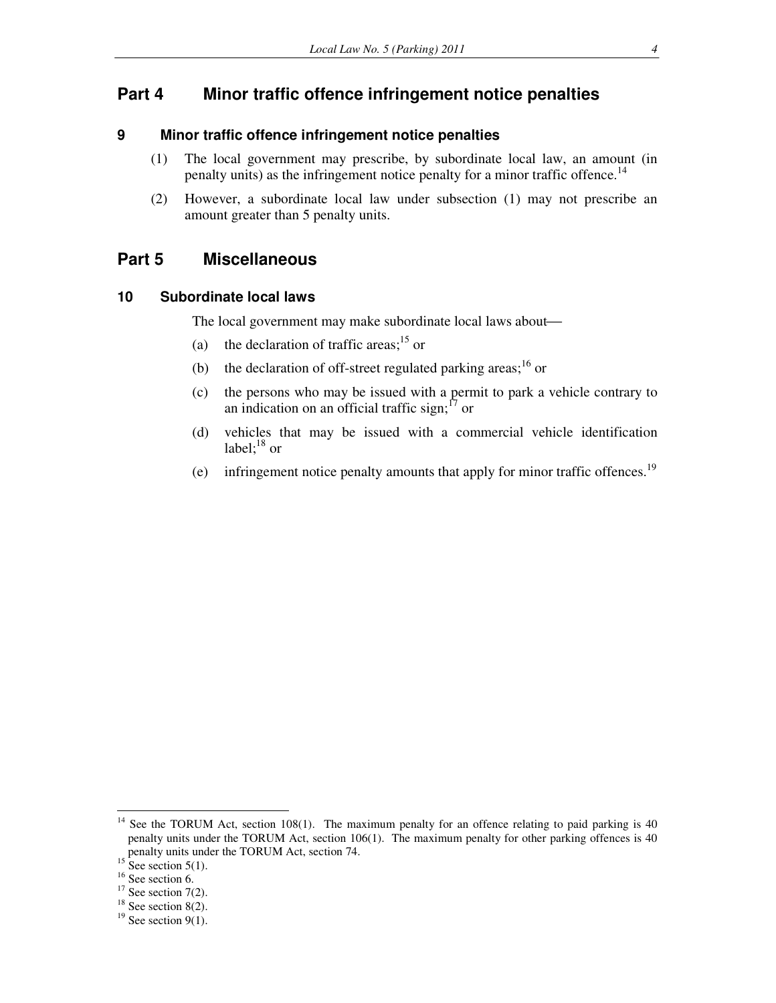## **Part 4 Minor traffic offence infringement notice penalties**

## **9 Minor traffic offence infringement notice penalties**

- (1) The local government may prescribe, by subordinate local law, an amount (in penalty units) as the infringement notice penalty for a minor traffic offence.<sup>14</sup>
- (2) However, a subordinate local law under subsection (1) may not prescribe an amount greater than 5 penalty units.

## **Part 5 Miscellaneous**

#### **10 Subordinate local laws**

The local government may make subordinate local laws about

- (a) the declaration of traffic areas;  $15$  or
- (b) the declaration of off-street regulated parking areas;<sup>16</sup> or
- (c) the persons who may be issued with a permit to park a vehicle contrary to an indication on an official traffic sign; $^{17}$  or
- (d) vehicles that may be issued with a commercial vehicle identification label; $^{18}$  or
- (e) infringement notice penalty amounts that apply for minor traffic offences.<sup>19</sup>

 $\ddot{\phantom{a}}$ 

 $14$  See the TORUM Act, section 108(1). The maximum penalty for an offence relating to paid parking is 40 penalty units under the TORUM Act, section 106(1). The maximum penalty for other parking offences is 40 penalty units under the TORUM Act, section 74.

<sup>&</sup>lt;sup>15</sup> See section 5(1).

<sup>&</sup>lt;sup>16</sup> See section 6.

 $17$  See section 7(2).

 $18$  See section 8(2).

 $19$  See section 9(1).